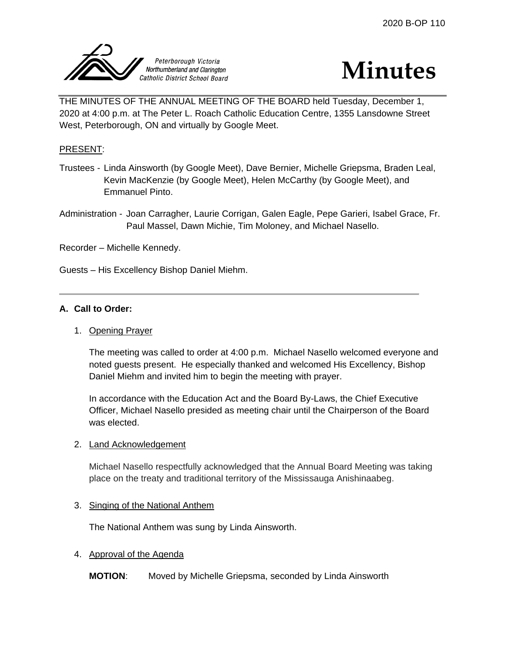

# **Minutes**

THE MINUTES OF THE ANNUAL MEETING OF THE BOARD held Tuesday, December 1, 2020 at 4:00 p.m. at The Peter L. Roach Catholic Education Centre, 1355 Lansdowne Street West, Peterborough, ON and virtually by Google Meet.

# PRESENT:

- Trustees Linda Ainsworth (by Google Meet), Dave Bernier, Michelle Griepsma, Braden Leal, Kevin MacKenzie (by Google Meet), Helen McCarthy (by Google Meet), and Emmanuel Pinto.
- Administration Joan Carragher, Laurie Corrigan, Galen Eagle, Pepe Garieri, Isabel Grace, Fr. Paul Massel, Dawn Michie, Tim Moloney, and Michael Nasello.

Recorder – Michelle Kennedy.

Guests – His Excellency Bishop Daniel Miehm.

# **A. Call to Order:**

1. Opening Prayer

The meeting was called to order at 4:00 p.m. Michael Nasello welcomed everyone and noted guests present. He especially thanked and welcomed His Excellency, Bishop Daniel Miehm and invited him to begin the meeting with prayer.

In accordance with the Education Act and the Board By-Laws, the Chief Executive Officer, Michael Nasello presided as meeting chair until the Chairperson of the Board was elected.

# 2. Land Acknowledgement

Michael Nasello respectfully acknowledged that the Annual Board Meeting was taking place on the treaty and traditional territory of the Mississauga Anishinaabeg.

# 3. Singing of the National Anthem

The National Anthem was sung by Linda Ainsworth.

# 4. Approval of the Agenda

**MOTION**: Moved by Michelle Griepsma, seconded by Linda Ainsworth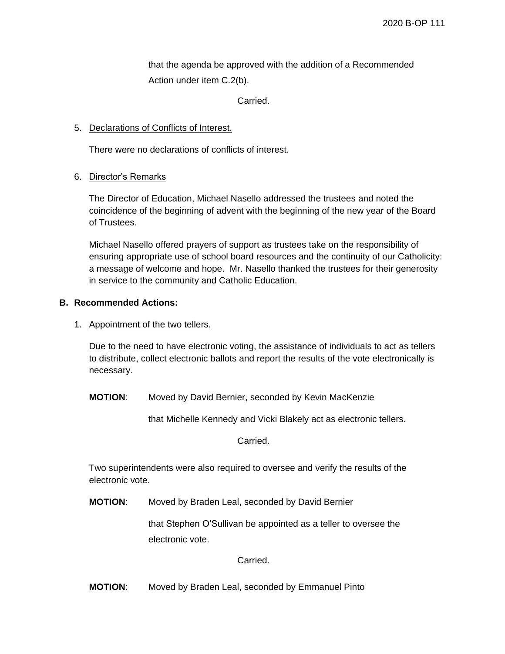that the agenda be approved with the addition of a Recommended Action under item C.2(b).

Carried.

# 5. Declarations of Conflicts of Interest.

There were no declarations of conflicts of interest.

# 6. Director's Remarks

The Director of Education, Michael Nasello addressed the trustees and noted the coincidence of the beginning of advent with the beginning of the new year of the Board of Trustees.

Michael Nasello offered prayers of support as trustees take on the responsibility of ensuring appropriate use of school board resources and the continuity of our Catholicity: a message of welcome and hope. Mr. Nasello thanked the trustees for their generosity in service to the community and Catholic Education.

# **B. Recommended Actions:**

1. Appointment of the two tellers.

Due to the need to have electronic voting, the assistance of individuals to act as tellers to distribute, collect electronic ballots and report the results of the vote electronically is necessary.

**MOTION**: Moved by David Bernier, seconded by Kevin MacKenzie

that Michelle Kennedy and Vicki Blakely act as electronic tellers.

Carried.

Two superintendents were also required to oversee and verify the results of the electronic vote.

**MOTION**: Moved by Braden Leal, seconded by David Bernier

that Stephen O'Sullivan be appointed as a teller to oversee the electronic vote.

Carried.

**MOTION**: Moved by Braden Leal, seconded by Emmanuel Pinto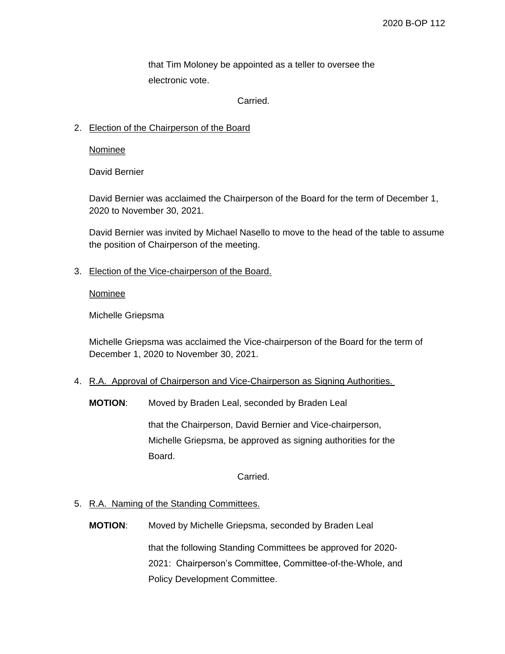that Tim Moloney be appointed as a teller to oversee the electronic vote.

Carried.

# 2. Election of the Chairperson of the Board

**Nominee** 

David Bernier

David Bernier was acclaimed the Chairperson of the Board for the term of December 1, 2020 to November 30, 2021.

David Bernier was invited by Michael Nasello to move to the head of the table to assume the position of Chairperson of the meeting.

3. Election of the Vice-chairperson of the Board.

Nominee

Michelle Griepsma

Michelle Griepsma was acclaimed the Vice-chairperson of the Board for the term of December 1, 2020 to November 30, 2021.

- 4. R.A. Approval of Chairperson and Vice-Chairperson as Signing Authorities.
	- **MOTION**: Moved by Braden Leal, seconded by Braden Leal

that the Chairperson, David Bernier and Vice-chairperson, Michelle Griepsma, be approved as signing authorities for the Board.

Carried.

#### 5. R.A. Naming of the Standing Committees.

**MOTION**: Moved by Michelle Griepsma, seconded by Braden Leal that the following Standing Committees be approved for 2020- 2021: Chairperson's Committee, Committee-of-the-Whole, and Policy Development Committee.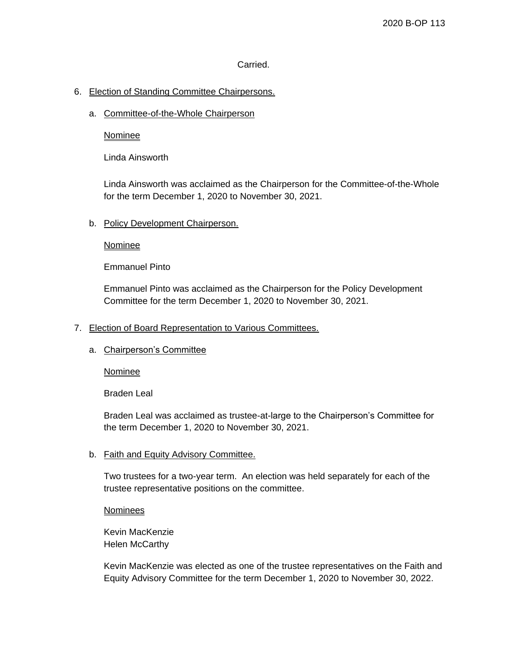# Carried.

# 6. Election of Standing Committee Chairpersons.

a. Committee-of-the-Whole Chairperson

Nominee

Linda Ainsworth

Linda Ainsworth was acclaimed as the Chairperson for the Committee-of-the-Whole for the term December 1, 2020 to November 30, 2021.

#### b. Policy Development Chairperson.

Nominee

Emmanuel Pinto

Emmanuel Pinto was acclaimed as the Chairperson for the Policy Development Committee for the term December 1, 2020 to November 30, 2021.

#### 7. Election of Board Representation to Various Committees.

#### a. Chairperson's Committee

**Nominee** 

Braden Leal

Braden Leal was acclaimed as trustee-at-large to the Chairperson's Committee for the term December 1, 2020 to November 30, 2021.

#### b. Faith and Equity Advisory Committee.

Two trustees for a two-year term. An election was held separately for each of the trustee representative positions on the committee.

**Nominees** 

Kevin MacKenzie Helen McCarthy

Kevin MacKenzie was elected as one of the trustee representatives on the Faith and Equity Advisory Committee for the term December 1, 2020 to November 30, 2022.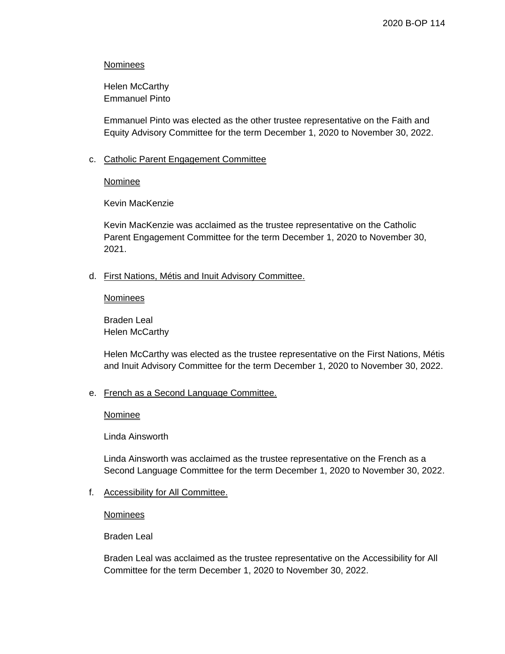#### **Nominees**

Helen McCarthy Emmanuel Pinto

Emmanuel Pinto was elected as the other trustee representative on the Faith and Equity Advisory Committee for the term December 1, 2020 to November 30, 2022.

# c. Catholic Parent Engagement Committee

Nominee

Kevin MacKenzie

Kevin MacKenzie was acclaimed as the trustee representative on the Catholic Parent Engagement Committee for the term December 1, 2020 to November 30, 2021.

d. First Nations, Métis and Inuit Advisory Committee.

#### Nominees

Braden Leal Helen McCarthy

Helen McCarthy was elected as the trustee representative on the First Nations, Métis and Inuit Advisory Committee for the term December 1, 2020 to November 30, 2022.

# e. French as a Second Language Committee.

**Nominee** 

Linda Ainsworth

Linda Ainsworth was acclaimed as the trustee representative on the French as a Second Language Committee for the term December 1, 2020 to November 30, 2022.

f. Accessibility for All Committee.

**Nominees** 

Braden Leal

Braden Leal was acclaimed as the trustee representative on the Accessibility for All Committee for the term December 1, 2020 to November 30, 2022.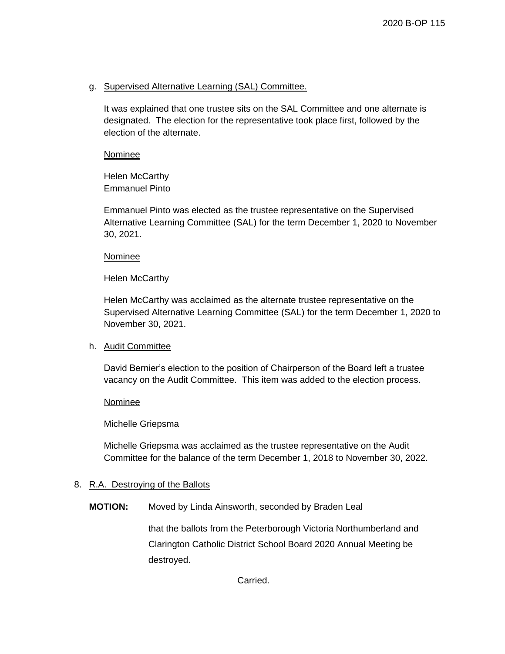#### g. Supervised Alternative Learning (SAL) Committee.

It was explained that one trustee sits on the SAL Committee and one alternate is designated. The election for the representative took place first, followed by the election of the alternate.

Nominee

Helen McCarthy Emmanuel Pinto

Emmanuel Pinto was elected as the trustee representative on the Supervised Alternative Learning Committee (SAL) for the term December 1, 2020 to November 30, 2021.

#### Nominee

Helen McCarthy

Helen McCarthy was acclaimed as the alternate trustee representative on the Supervised Alternative Learning Committee (SAL) for the term December 1, 2020 to November 30, 2021.

#### h. Audit Committee

David Bernier's election to the position of Chairperson of the Board left a trustee vacancy on the Audit Committee. This item was added to the election process.

**Nominee** 

Michelle Griepsma

Michelle Griepsma was acclaimed as the trustee representative on the Audit Committee for the balance of the term December 1, 2018 to November 30, 2022.

#### 8. R.A. Destroying of the Ballots

**MOTION:** Moved by Linda Ainsworth, seconded by Braden Leal

that the ballots from the Peterborough Victoria Northumberland and Clarington Catholic District School Board 2020 Annual Meeting be destroyed.

Carried.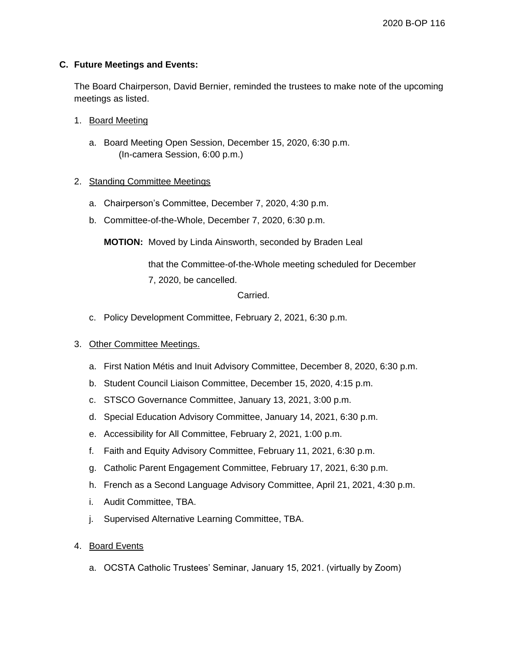# **C. Future Meetings and Events:**

The Board Chairperson, David Bernier, reminded the trustees to make note of the upcoming meetings as listed.

- 1. Board Meeting
	- a. Board Meeting Open Session, December 15, 2020, 6:30 p.m. (In-camera Session, 6:00 p.m.)

# 2. Standing Committee Meetings

- a. Chairperson's Committee, December 7, 2020, 4:30 p.m.
- b. Committee-of-the-Whole, December 7, 2020, 6:30 p.m.

**MOTION:** Moved by Linda Ainsworth, seconded by Braden Leal

that the Committee-of-the-Whole meeting scheduled for December 7, 2020, be cancelled.

Carried.

c. Policy Development Committee, February 2, 2021, 6:30 p.m.

#### 3. Other Committee Meetings.

- a. First Nation Métis and Inuit Advisory Committee, December 8, 2020, 6:30 p.m.
- b. Student Council Liaison Committee, December 15, 2020, 4:15 p.m.
- c. STSCO Governance Committee, January 13, 2021, 3:00 p.m.
- d. Special Education Advisory Committee, January 14, 2021, 6:30 p.m.
- e. Accessibility for All Committee, February 2, 2021, 1:00 p.m.
- f. Faith and Equity Advisory Committee, February 11, 2021, 6:30 p.m.
- g. Catholic Parent Engagement Committee, February 17, 2021, 6:30 p.m.
- h. French as a Second Language Advisory Committee, April 21, 2021, 4:30 p.m.
- i. Audit Committee, TBA.
- j. Supervised Alternative Learning Committee, TBA.
- 4. Board Events
	- a. OCSTA Catholic Trustees' Seminar, January 15, 2021. (virtually by Zoom)